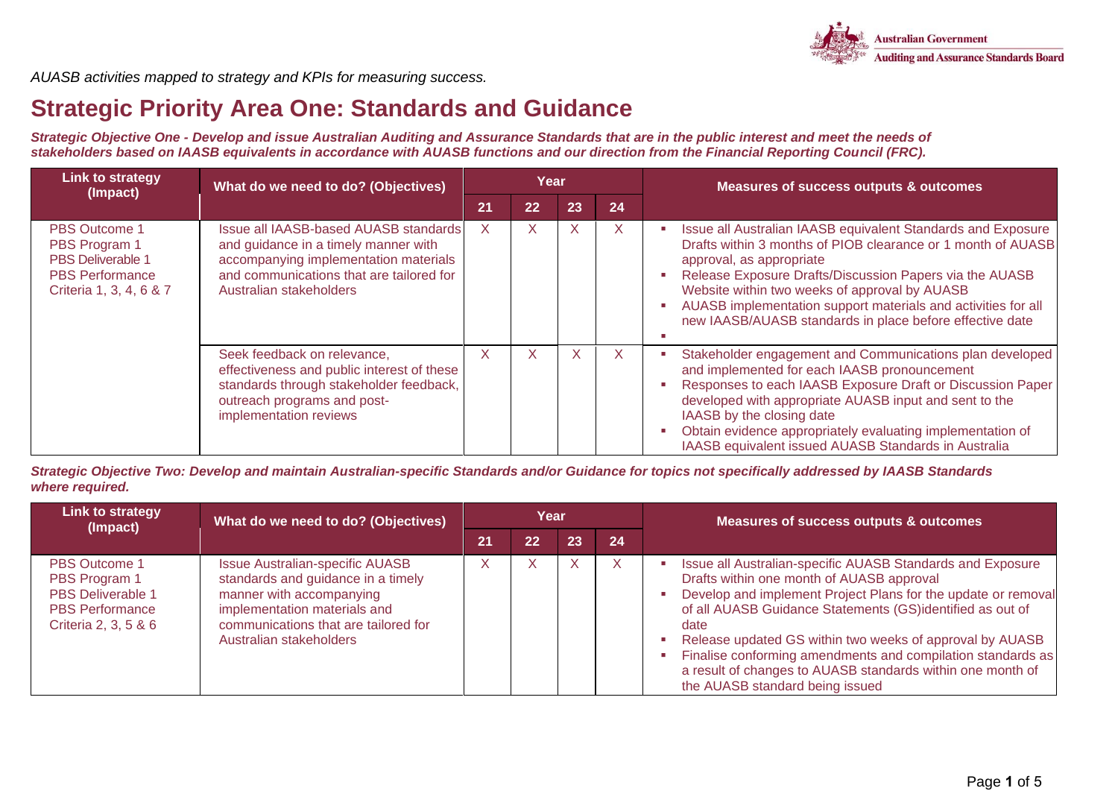

*AUASB activities mapped to strategy and KPIs for measuring success.*

### **Strategic Priority Area One: Standards and Guidance**

*Strategic Objective One - Develop and issue Australian Auditing and Assurance Standards that are in the public interest and meet the needs of stakeholders based on IAASB equivalents in accordance with AUASB functions and our direction from the Financial Reporting Council (FRC).*

| <b>Link to strategy</b><br>(Impact)                                                                                    | What do we need to do? (Objectives)                                                                                                                                                           |    | Year |    |    | Measures of success outputs & outcomes                                                                                                                                                                                                                                                                                                                                                            |  |
|------------------------------------------------------------------------------------------------------------------------|-----------------------------------------------------------------------------------------------------------------------------------------------------------------------------------------------|----|------|----|----|---------------------------------------------------------------------------------------------------------------------------------------------------------------------------------------------------------------------------------------------------------------------------------------------------------------------------------------------------------------------------------------------------|--|
|                                                                                                                        |                                                                                                                                                                                               | 21 | 22   | 23 | 24 |                                                                                                                                                                                                                                                                                                                                                                                                   |  |
| <b>PBS Outcome 1</b><br>PBS Program 1<br><b>PBS Deliverable 1</b><br><b>PBS Performance</b><br>Criteria 1, 3, 4, 6 & 7 | Issue all IAASB-based AUASB standards<br>and guidance in a timely manner with<br>accompanying implementation materials<br>and communications that are tailored for<br>Australian stakeholders | X. | X    | X  | X  | Issue all Australian IAASB equivalent Standards and Exposure<br>Drafts within 3 months of PIOB clearance or 1 month of AUASB<br>approval, as appropriate<br>Release Exposure Drafts/Discussion Papers via the AUASB<br>Website within two weeks of approval by AUASB<br>AUASB implementation support materials and activities for all<br>new IAASB/AUASB standards in place before effective date |  |
|                                                                                                                        | Seek feedback on relevance,<br>effectiveness and public interest of these<br>standards through stakeholder feedback,<br>outreach programs and post-<br>implementation reviews                 | X  | X    | X  | X  | Stakeholder engagement and Communications plan developed<br>and implemented for each IAASB pronouncement<br>Responses to each IAASB Exposure Draft or Discussion Paper<br>developed with appropriate AUASB input and sent to the<br>IAASB by the closing date<br>Obtain evidence appropriately evaluating implementation of<br>IAASB equivalent issued AUASB Standards in Australia               |  |

*Strategic Objective Two: Develop and maintain Australian-specific Standards and/or Guidance for topics not specifically addressed by IAASB Standards where required.* 

| Link to strategy<br>(Impact)                                                                                        | What do we need to do? (Objectives)                                                                                                                                                                         |    | Year |    |              | <b>Measures of success outputs &amp; outcomes</b>                                                                                                                                                                                                                                                                                                                                                                                                                         |
|---------------------------------------------------------------------------------------------------------------------|-------------------------------------------------------------------------------------------------------------------------------------------------------------------------------------------------------------|----|------|----|--------------|---------------------------------------------------------------------------------------------------------------------------------------------------------------------------------------------------------------------------------------------------------------------------------------------------------------------------------------------------------------------------------------------------------------------------------------------------------------------------|
|                                                                                                                     |                                                                                                                                                                                                             | 21 | 22   | 23 | 24           |                                                                                                                                                                                                                                                                                                                                                                                                                                                                           |
| <b>PBS Outcome 1</b><br>PBS Program 1<br><b>PBS Deliverable 1</b><br><b>PBS Performance</b><br>Criteria 2, 3, 5 & 6 | <b>Issue Australian-specific AUASB</b><br>standards and guidance in a timely<br>manner with accompanying<br>implementation materials and<br>communications that are tailored for<br>Australian stakeholders |    | X    | X  | $\mathsf{X}$ | Issue all Australian-specific AUASB Standards and Exposure<br>Drafts within one month of AUASB approval<br>Develop and implement Project Plans for the update or removal<br>of all AUASB Guidance Statements (GS)identified as out of<br>date<br>Release updated GS within two weeks of approval by AUASB<br>Finalise conforming amendments and compilation standards as<br>a result of changes to AUASB standards within one month of<br>the AUASB standard being issued |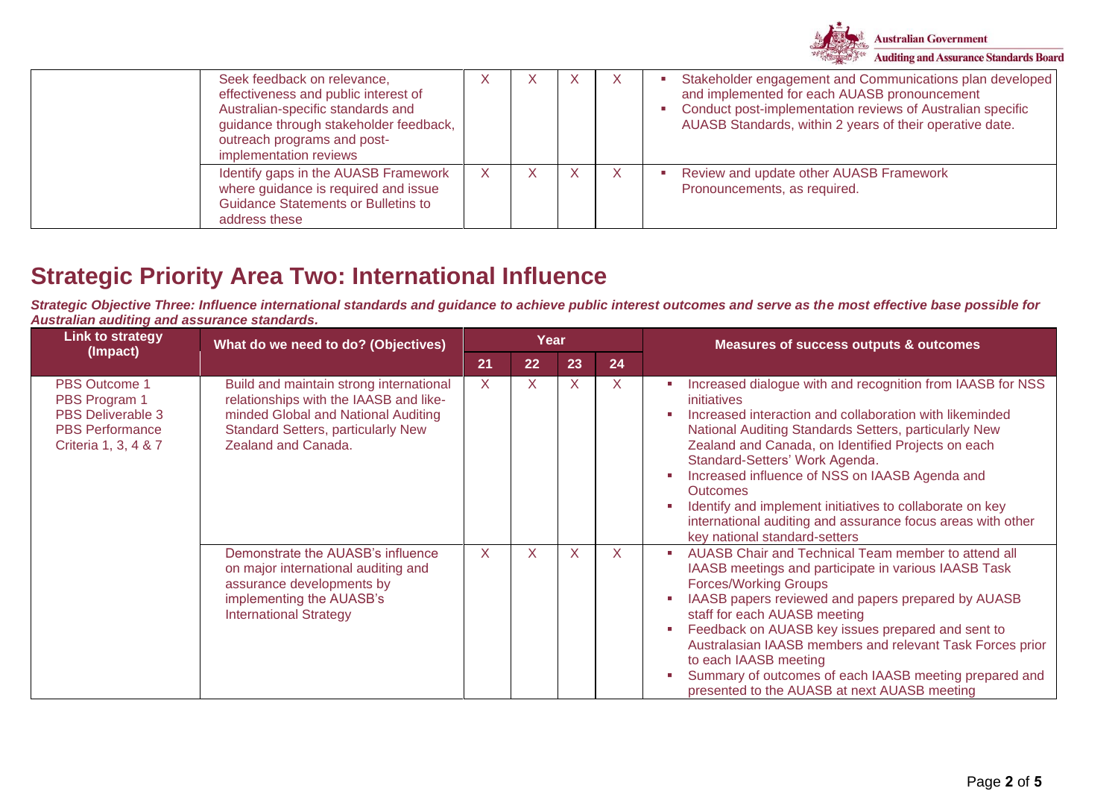

| Seek feedback on relevance,<br>effectiveness and public interest of<br>Australian-specific standards and<br>guidance through stakeholder feedback,<br>outreach programs and post-<br>implementation reviews |   | - X | - X | Stakeholder engagement and Communications plan developed<br>and implemented for each AUASB pronouncement<br>Conduct post-implementation reviews of Australian specific<br>AUASB Standards, within 2 years of their operative date. |
|-------------------------------------------------------------------------------------------------------------------------------------------------------------------------------------------------------------|---|-----|-----|------------------------------------------------------------------------------------------------------------------------------------------------------------------------------------------------------------------------------------|
| Identify gaps in the AUASB Framework<br>where guidance is required and issue<br><b>Guidance Statements or Bulletins to</b><br>address these                                                                 | X |     |     | Review and update other AUASB Framework<br>Pronouncements, as required.                                                                                                                                                            |

### **Strategic Priority Area Two: International Influence**

*Strategic Objective Three: Influence international standards and guidance to achieve public interest outcomes and serve as the most effective base possible for Australian auditing and assurance standards.*

| <b>Link to strategy</b><br>(Impact)                                                                          | What do we need to do? (Objectives)                                                                                                                                                          |              | Year |    |         | <b>Measures of success outputs &amp; outcomes</b>                                                                                                                                                                                                                                                                                                                                                                                                                                                                           |
|--------------------------------------------------------------------------------------------------------------|----------------------------------------------------------------------------------------------------------------------------------------------------------------------------------------------|--------------|------|----|---------|-----------------------------------------------------------------------------------------------------------------------------------------------------------------------------------------------------------------------------------------------------------------------------------------------------------------------------------------------------------------------------------------------------------------------------------------------------------------------------------------------------------------------------|
|                                                                                                              |                                                                                                                                                                                              | 21           | 22   | 23 | 24      |                                                                                                                                                                                                                                                                                                                                                                                                                                                                                                                             |
| <b>PBS Outcome 1</b><br>PBS Program 1<br>PBS Deliverable 3<br><b>PBS Performance</b><br>Criteria 1, 3, 4 & 7 | Build and maintain strong international<br>relationships with the IAASB and like-<br>minded Global and National Auditing<br><b>Standard Setters, particularly New</b><br>Zealand and Canada. | $\mathsf{X}$ | X    | X  | $\sf X$ | Increased dialogue with and recognition from IAASB for NSS<br>ш<br>initiatives<br>Increased interaction and collaboration with likeminded<br>National Auditing Standards Setters, particularly New<br>Zealand and Canada, on Identified Projects on each<br>Standard-Setters' Work Agenda.<br>Increased influence of NSS on IAASB Agenda and<br><b>Outcomes</b><br>Identify and implement initiatives to collaborate on key<br>international auditing and assurance focus areas with other<br>key national standard-setters |
|                                                                                                              | Demonstrate the AUASB's influence<br>on major international auditing and<br>assurance developments by<br>implementing the AUASB's<br><b>International Strategy</b>                           | $\mathsf{X}$ | X    | X  | X       | AUASB Chair and Technical Team member to attend all<br>×.<br>IAASB meetings and participate in various IAASB Task<br><b>Forces/Working Groups</b><br>IAASB papers reviewed and papers prepared by AUASB<br>staff for each AUASB meeting<br>Feedback on AUASB key issues prepared and sent to<br>Australasian IAASB members and relevant Task Forces prior<br>to each IAASB meeting<br>Summary of outcomes of each IAASB meeting prepared and<br>presented to the AUASB at next AUASB meeting                                |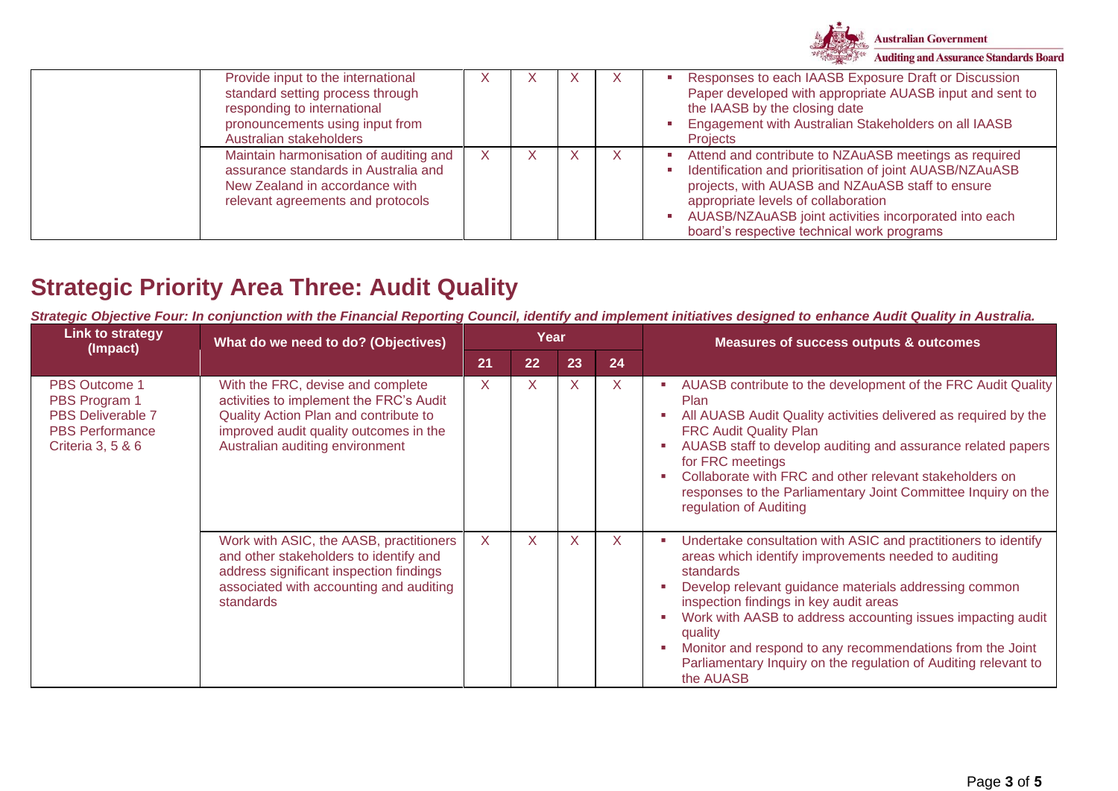

| Provide input to the international<br>standard setting process through<br>responding to international<br>pronouncements using input from<br>Australian stakeholders | X  | - A | X | X | Responses to each IAASB Exposure Draft or Discussion<br>Paper developed with appropriate AUASB input and sent to<br>the IAASB by the closing date<br><b>Engagement with Australian Stakeholders on all IAASB</b><br><b>Projects</b>                                                                                 |
|---------------------------------------------------------------------------------------------------------------------------------------------------------------------|----|-----|---|---|---------------------------------------------------------------------------------------------------------------------------------------------------------------------------------------------------------------------------------------------------------------------------------------------------------------------|
| Maintain harmonisation of auditing and<br>assurance standards in Australia and<br>New Zealand in accordance with<br>relevant agreements and protocols               | X. |     |   |   | Attend and contribute to NZAuASB meetings as required<br>Identification and prioritisation of joint AUASB/NZAuASB<br>projects, with AUASB and NZAuASB staff to ensure<br>appropriate levels of collaboration<br>AUASB/NZAuASB joint activities incorporated into each<br>board's respective technical work programs |

# **Strategic Priority Area Three: Audit Quality**

*Strategic Objective Four: In conjunction with the Financial Reporting Council, identify and implement initiatives designed to enhance Audit Quality in Australia.*

| <b>Link to strategy</b><br>(Impact)                                                                              | What do we need to do? (Objectives)                                                                                                                                                                |         | Year |    |         | <b>Measures of success outputs &amp; outcomes</b>                                                                                                                                                                                                                                                                                                                                                                                                             |
|------------------------------------------------------------------------------------------------------------------|----------------------------------------------------------------------------------------------------------------------------------------------------------------------------------------------------|---------|------|----|---------|---------------------------------------------------------------------------------------------------------------------------------------------------------------------------------------------------------------------------------------------------------------------------------------------------------------------------------------------------------------------------------------------------------------------------------------------------------------|
|                                                                                                                  |                                                                                                                                                                                                    | 21      | 22   | 23 | 24      |                                                                                                                                                                                                                                                                                                                                                                                                                                                               |
| <b>PBS Outcome 1</b><br>PBS Program 1<br><b>PBS Deliverable 7</b><br><b>PBS Performance</b><br>Criteria 3, 5 & 6 | With the FRC, devise and complete<br>activities to implement the FRC's Audit<br>Quality Action Plan and contribute to<br>improved audit quality outcomes in the<br>Australian auditing environment | $\sf X$ | X    | X  | $\sf X$ | AUASB contribute to the development of the FRC Audit Quality<br><b>Plan</b><br>All AUASB Audit Quality activities delivered as required by the<br><b>FRC Audit Quality Plan</b><br>AUASB staff to develop auditing and assurance related papers<br>for FRC meetings<br>Collaborate with FRC and other relevant stakeholders on<br>responses to the Parliamentary Joint Committee Inquiry on the<br>regulation of Auditing                                     |
|                                                                                                                  | Work with ASIC, the AASB, practitioners<br>and other stakeholders to identify and<br>address significant inspection findings<br>associated with accounting and auditing<br>standards               | X       | X    | X  | $\sf X$ | Undertake consultation with ASIC and practitioners to identify<br>areas which identify improvements needed to auditing<br>standards<br>Develop relevant guidance materials addressing common<br>inspection findings in key audit areas<br>Work with AASB to address accounting issues impacting audit<br>quality<br>Monitor and respond to any recommendations from the Joint<br>Parliamentary Inquiry on the regulation of Auditing relevant to<br>the AUASB |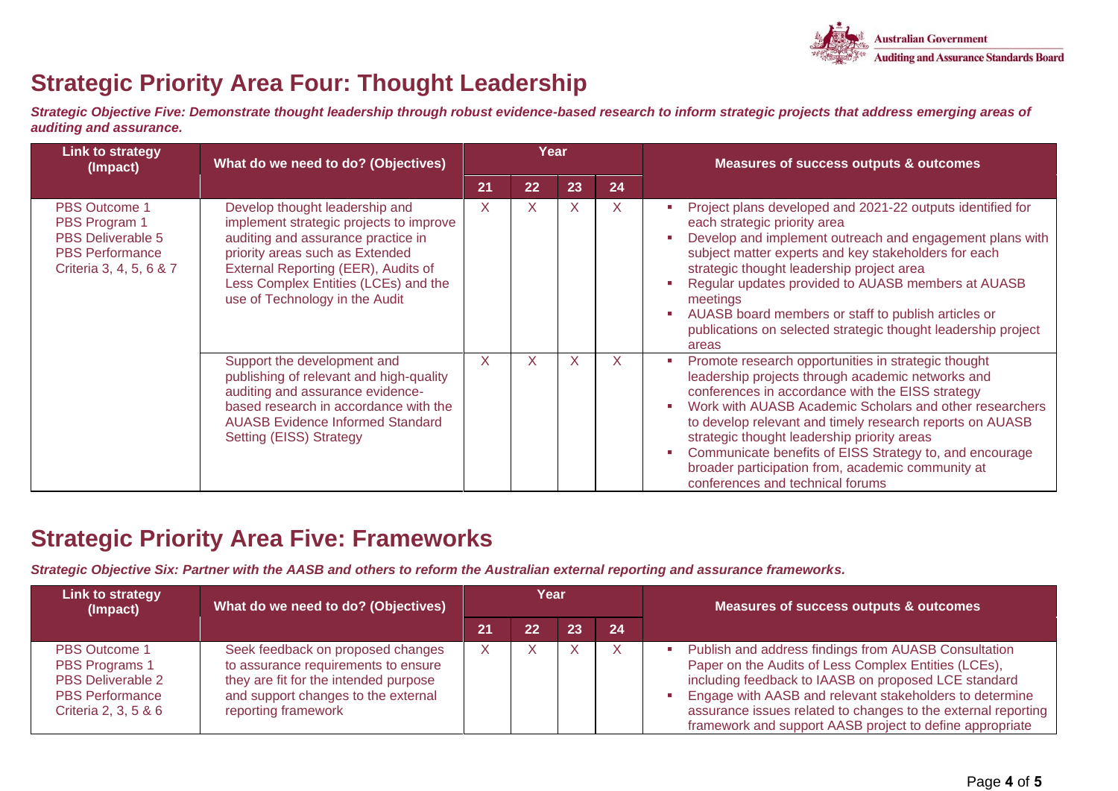

# **Strategic Priority Area Four: Thought Leadership**

*Strategic Objective Five: Demonstrate thought leadership through robust evidence-based research to inform strategic projects that address emerging areas of auditing and assurance.*

| <b>Link to strategy</b><br>(Impact)                                                                                    | What do we need to do? (Objectives)                                                                                                                                                                                                                                 |              | Year |              |              | <b>Measures of success outputs &amp; outcomes</b>                                                                                                                                                                                                                                                                                                                                                                                                                                      |
|------------------------------------------------------------------------------------------------------------------------|---------------------------------------------------------------------------------------------------------------------------------------------------------------------------------------------------------------------------------------------------------------------|--------------|------|--------------|--------------|----------------------------------------------------------------------------------------------------------------------------------------------------------------------------------------------------------------------------------------------------------------------------------------------------------------------------------------------------------------------------------------------------------------------------------------------------------------------------------------|
|                                                                                                                        |                                                                                                                                                                                                                                                                     | 21           | 22   | 23           | 24           |                                                                                                                                                                                                                                                                                                                                                                                                                                                                                        |
| <b>PBS Outcome 1</b><br>PBS Program 1<br><b>PBS Deliverable 5</b><br><b>PBS Performance</b><br>Criteria 3, 4, 5, 6 & 7 | Develop thought leadership and<br>implement strategic projects to improve<br>auditing and assurance practice in<br>priority areas such as Extended<br>External Reporting (EER), Audits of<br>Less Complex Entities (LCEs) and the<br>use of Technology in the Audit | $\mathsf{X}$ | X    | $\mathsf{X}$ | $\mathsf{X}$ | Project plans developed and 2021-22 outputs identified for<br>each strategic priority area<br>Develop and implement outreach and engagement plans with<br>subject matter experts and key stakeholders for each<br>strategic thought leadership project area<br>Regular updates provided to AUASB members at AUASB<br>meetings<br>AUASB board members or staff to publish articles or<br>publications on selected strategic thought leadership project<br>areas                         |
|                                                                                                                        | Support the development and<br>publishing of relevant and high-quality<br>auditing and assurance evidence-<br>based research in accordance with the<br><b>AUASB Evidence Informed Standard</b><br>Setting (EISS) Strategy                                           | $\mathsf{X}$ | X    | X            | $\mathsf{X}$ | Promote research opportunities in strategic thought<br>leadership projects through academic networks and<br>conferences in accordance with the EISS strategy<br>Work with AUASB Academic Scholars and other researchers<br>to develop relevant and timely research reports on AUASB<br>strategic thought leadership priority areas<br>Communicate benefits of EISS Strategy to, and encourage<br>broader participation from, academic community at<br>conferences and technical forums |

### **Strategic Priority Area Five: Frameworks**

*Strategic Objective Six: Partner with the AASB and others to reform the Australian external reporting and assurance frameworks.* 

| <b>Link to strategy</b><br>(Impact)                                                                                  | What do we need to do? (Objectives)                                                                                                                                             | Year |    |    |    | Measures of success outputs & outcomes                                                                                                                                                                                                                                                                                                                       |  |
|----------------------------------------------------------------------------------------------------------------------|---------------------------------------------------------------------------------------------------------------------------------------------------------------------------------|------|----|----|----|--------------------------------------------------------------------------------------------------------------------------------------------------------------------------------------------------------------------------------------------------------------------------------------------------------------------------------------------------------------|--|
|                                                                                                                      |                                                                                                                                                                                 | 21   | 22 | 23 | 24 |                                                                                                                                                                                                                                                                                                                                                              |  |
| <b>PBS Outcome 1</b><br>PBS Programs 1<br><b>PBS Deliverable 2</b><br><b>PBS Performance</b><br>Criteria 2, 3, 5 & 6 | Seek feedback on proposed changes<br>to assurance requirements to ensure<br>they are fit for the intended purpose<br>and support changes to the external<br>reporting framework |      |    |    |    | Publish and address findings from AUASB Consultation<br>Paper on the Audits of Less Complex Entities (LCEs),<br>including feedback to IAASB on proposed LCE standard<br>Engage with AASB and relevant stakeholders to determine<br>assurance issues related to changes to the external reporting<br>framework and support AASB project to define appropriate |  |